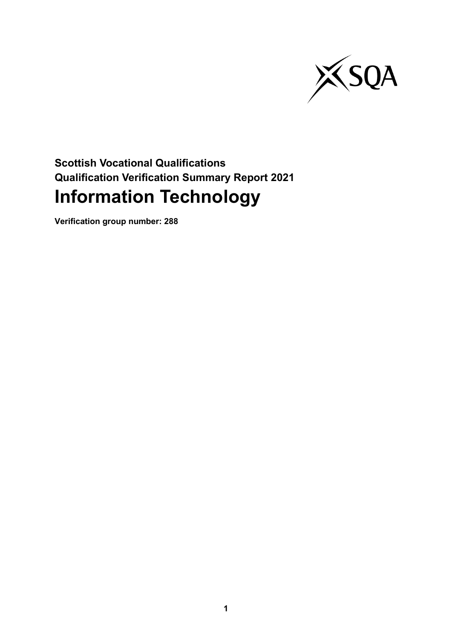

# **Scottish Vocational Qualifications Qualification Verification Summary Report 2021 Information Technology**

**Verification group number: 288**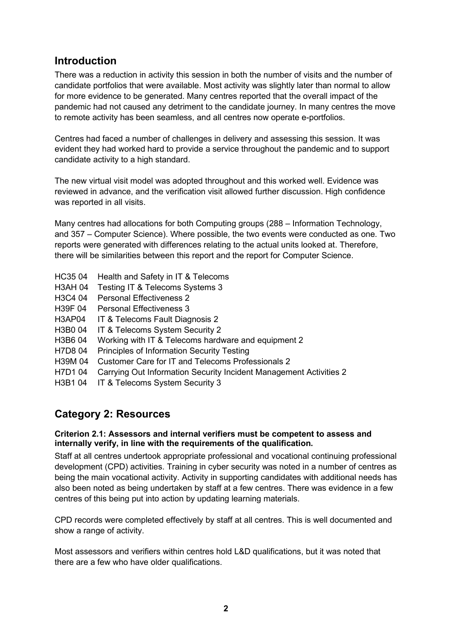### **Introduction**

There was a reduction in activity this session in both the number of visits and the number of candidate portfolios that were available. Most activity was slightly later than normal to allow for more evidence to be generated. Many centres reported that the overall impact of the pandemic had not caused any detriment to the candidate journey. In many centres the move to remote activity has been seamless, and all centres now operate e-portfolios.

Centres had faced a number of challenges in delivery and assessing this session. It was evident they had worked hard to provide a service throughout the pandemic and to support candidate activity to a high standard.

The new virtual visit model was adopted throughout and this worked well. Evidence was reviewed in advance, and the verification visit allowed further discussion. High confidence was reported in all visits.

Many centres had allocations for both Computing groups (288 – Information Technology, and 357 – Computer Science). Where possible, the two events were conducted as one. Two reports were generated with differences relating to the actual units looked at. Therefore, there will be similarities between this report and the report for Computer Science.

- HC35 04 Health and Safety in IT & Telecoms
- H3AH 04 Testing IT & Telecoms Systems 3
- H3C4 04 Personal Effectiveness 2
- H39F 04 Personal Effectiveness 3
- H3AP04 IT & Telecoms Fault Diagnosis 2
- H3B0 04 IT & Telecoms System Security 2
- H3B6 04 Working with IT & Telecoms hardware and equipment 2
- H7D8 04 Principles of Information Security Testing
- H39M 04 Customer Care for IT and Telecoms Professionals 2
- H7D1 04 Carrying Out Information Security Incident Management Activities 2
- H3B1 04 IT & Telecoms System Security 3

### **Category 2: Resources**

#### **Criterion 2.1: Assessors and internal verifiers must be competent to assess and internally verify, in line with the requirements of the qualification.**

Staff at all centres undertook appropriate professional and vocational continuing professional development (CPD) activities. Training in cyber security was noted in a number of centres as being the main vocational activity. Activity in supporting candidates with additional needs has also been noted as being undertaken by staff at a few centres. There was evidence in a few centres of this being put into action by updating learning materials.

CPD records were completed effectively by staff at all centres. This is well documented and show a range of activity.

Most assessors and verifiers within centres hold L&D qualifications, but it was noted that there are a few who have older qualifications.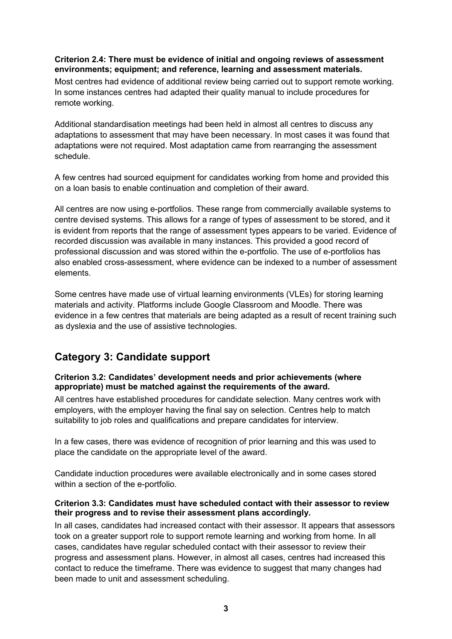#### **Criterion 2.4: There must be evidence of initial and ongoing reviews of assessment environments; equipment; and reference, learning and assessment materials.**

Most centres had evidence of additional review being carried out to support remote working. In some instances centres had adapted their quality manual to include procedures for remote working.

Additional standardisation meetings had been held in almost all centres to discuss any adaptations to assessment that may have been necessary. In most cases it was found that adaptations were not required. Most adaptation came from rearranging the assessment schedule.

A few centres had sourced equipment for candidates working from home and provided this on a loan basis to enable continuation and completion of their award.

All centres are now using e-portfolios. These range from commercially available systems to centre devised systems. This allows for a range of types of assessment to be stored, and it is evident from reports that the range of assessment types appears to be varied. Evidence of recorded discussion was available in many instances. This provided a good record of professional discussion and was stored within the e-portfolio. The use of e-portfolios has also enabled cross-assessment, where evidence can be indexed to a number of assessment elements.

Some centres have made use of virtual learning environments (VLEs) for storing learning materials and activity. Platforms include Google Classroom and Moodle. There was evidence in a few centres that materials are being adapted as a result of recent training such as dyslexia and the use of assistive technologies.

### **Category 3: Candidate support**

#### **Criterion 3.2: Candidates' development needs and prior achievements (where appropriate) must be matched against the requirements of the award.**

All centres have established procedures for candidate selection. Many centres work with employers, with the employer having the final say on selection. Centres help to match suitability to job roles and qualifications and prepare candidates for interview.

In a few cases, there was evidence of recognition of prior learning and this was used to place the candidate on the appropriate level of the award.

Candidate induction procedures were available electronically and in some cases stored within a section of the e-portfolio.

#### **Criterion 3.3: Candidates must have scheduled contact with their assessor to review their progress and to revise their assessment plans accordingly.**

In all cases, candidates had increased contact with their assessor. It appears that assessors took on a greater support role to support remote learning and working from home. In all cases, candidates have regular scheduled contact with their assessor to review their progress and assessment plans. However, in almost all cases, centres had increased this contact to reduce the timeframe. There was evidence to suggest that many changes had been made to unit and assessment scheduling.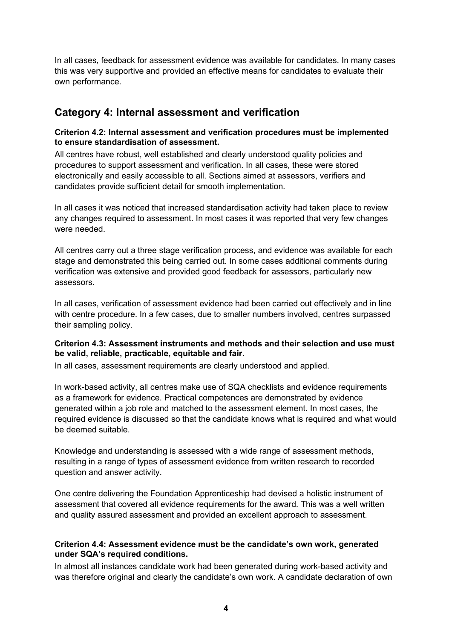In all cases, feedback for assessment evidence was available for candidates. In many cases this was very supportive and provided an effective means for candidates to evaluate their own performance.

### **Category 4: Internal assessment and verification**

#### **Criterion 4.2: Internal assessment and verification procedures must be implemented to ensure standardisation of assessment.**

All centres have robust, well established and clearly understood quality policies and procedures to support assessment and verification. In all cases, these were stored electronically and easily accessible to all. Sections aimed at assessors, verifiers and candidates provide sufficient detail for smooth implementation.

In all cases it was noticed that increased standardisation activity had taken place to review any changes required to assessment. In most cases it was reported that very few changes were needed.

All centres carry out a three stage verification process, and evidence was available for each stage and demonstrated this being carried out. In some cases additional comments during verification was extensive and provided good feedback for assessors, particularly new assessors.

In all cases, verification of assessment evidence had been carried out effectively and in line with centre procedure. In a few cases, due to smaller numbers involved, centres surpassed their sampling policy.

#### **Criterion 4.3: Assessment instruments and methods and their selection and use must be valid, reliable, practicable, equitable and fair.**

In all cases, assessment requirements are clearly understood and applied.

In work-based activity, all centres make use of SQA checklists and evidence requirements as a framework for evidence. Practical competences are demonstrated by evidence generated within a job role and matched to the assessment element. In most cases, the required evidence is discussed so that the candidate knows what is required and what would be deemed suitable.

Knowledge and understanding is assessed with a wide range of assessment methods, resulting in a range of types of assessment evidence from written research to recorded question and answer activity.

One centre delivering the Foundation Apprenticeship had devised a holistic instrument of assessment that covered all evidence requirements for the award. This was a well written and quality assured assessment and provided an excellent approach to assessment.

#### **Criterion 4.4: Assessment evidence must be the candidate's own work, generated under SQA's required conditions.**

In almost all instances candidate work had been generated during work-based activity and was therefore original and clearly the candidate's own work. A candidate declaration of own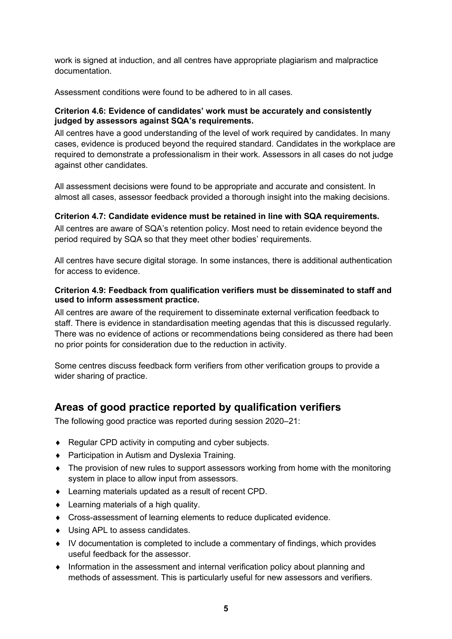work is signed at induction, and all centres have appropriate plagiarism and malpractice documentation.

Assessment conditions were found to be adhered to in all cases.

#### **Criterion 4.6: Evidence of candidates' work must be accurately and consistently judged by assessors against SQA's requirements.**

All centres have a good understanding of the level of work required by candidates. In many cases, evidence is produced beyond the required standard. Candidates in the workplace are required to demonstrate a professionalism in their work. Assessors in all cases do not judge against other candidates.

All assessment decisions were found to be appropriate and accurate and consistent. In almost all cases, assessor feedback provided a thorough insight into the making decisions.

#### **Criterion 4.7: Candidate evidence must be retained in line with SQA requirements.**

All centres are aware of SQA's retention policy. Most need to retain evidence beyond the period required by SQA so that they meet other bodies' requirements.

All centres have secure digital storage. In some instances, there is additional authentication for access to evidence.

#### **Criterion 4.9: Feedback from qualification verifiers must be disseminated to staff and used to inform assessment practice.**

All centres are aware of the requirement to disseminate external verification feedback to staff. There is evidence in standardisation meeting agendas that this is discussed regularly. There was no evidence of actions or recommendations being considered as there had been no prior points for consideration due to the reduction in activity.

Some centres discuss feedback form verifiers from other verification groups to provide a wider sharing of practice.

### **Areas of good practice reported by qualification verifiers**

The following good practice was reported during session 2020–21:

- ♦ Regular CPD activity in computing and cyber subjects.
- ♦ Participation in Autism and Dyslexia Training.
- ♦ The provision of new rules to support assessors working from home with the monitoring system in place to allow input from assessors.
- ♦ Learning materials updated as a result of recent CPD.
- ♦ Learning materials of a high quality.
- ♦ Cross-assessment of learning elements to reduce duplicated evidence.
- ♦ Using APL to assess candidates.
- ♦ IV documentation is completed to include a commentary of findings, which provides useful feedback for the assessor.
- ♦ Information in the assessment and internal verification policy about planning and methods of assessment. This is particularly useful for new assessors and verifiers.